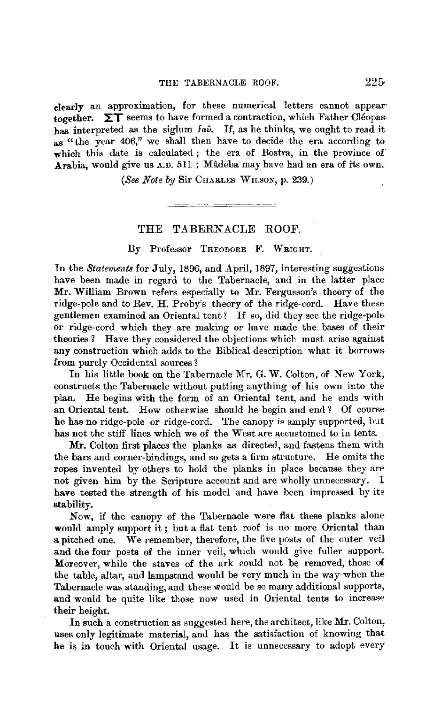clearly an approximation, for these numerical letters cannot appear together.  $\Sigma$ T seems to have formed a contraction, which Father Cleopashas interpreted as the siglum  $fa\hat{v}$ . If, as he thinks, we ought to read it as "the year 406," we shall then have to decide the era according to which this date is calculated; the era of Bostra, in the province of Arabia, would give us A.D. 511 ; Mâdeba may have had an era of its own.

*(See Note by Sir CHARLES WILSON, p. 239.)* 

للمستحسب المستحقق والمرودة والمستحدث

## THE TABERNACLE ROOF.

## By Professor THEODORE F. WRIGHT.

In the *Statements* for July, 1896, and April, 1897, interesting suggestions have been made in regard to the Tabernacle, and in the latter place **Mr.** William Brown refers especially to Mr. Fergusson's theory of the ridge-pole and to Rev. H. Proby's theory of the ridge-cord. Have these gentlemen examined an Oriental tent? If so, did they see the ridge-pole or ridge-cord which they are making or have made the bases of their theories? Have they considered the objections which must arise against **any** construction which adds to the Biblical description what it borrows from purely Occidental sources?

In his little book on the Tabernacle Mr. G. **W.** Colton, of New York, constructs the Taberuacle without putting anything of his own into the plan. He begins with the form of an Oriental tent, and he ends with an Oriental tent. How otherwise should he begin and end ? Of course he has no ridge-pole or ridge-cord. The canopy is amply supported, but has not the stiff lines which we of the West are accustomed to in tents.

Mr. Colton first places the planks as directed, and fastens them with the bars and corner-bindings, and so gets a firm structure. He omits the ropes invented by others to hold the planks in place because they are not given him by the Scripture account and are wholly unnecessary. I have tested the strength of his model and have been impressed by its **stability.** 

Now, if the canopy of the Tabernacle were flat these planks alone would amply support it ; but a flat tent roof is no more Oriental than a pitched one.  $\bar{W}$ e remember, therefore, the five posts of the outer veil and the four posts of the inner veil, which would give fuller support. Moreover, while the staves of the ark could not be removed, those **of**  the table, altar, aud lampstand would be very much in the way when the Tabernacle was standing, and these would be so many additional supports, and would be quite like those now used in Oriental tents to increase their height.

In such a construction as suggested here, the architect, like Mr. Colton, uses only legitimate material, and has the satisfaction of knowing that he is in touch with Oriental usage. It is unnecessary to adopt every